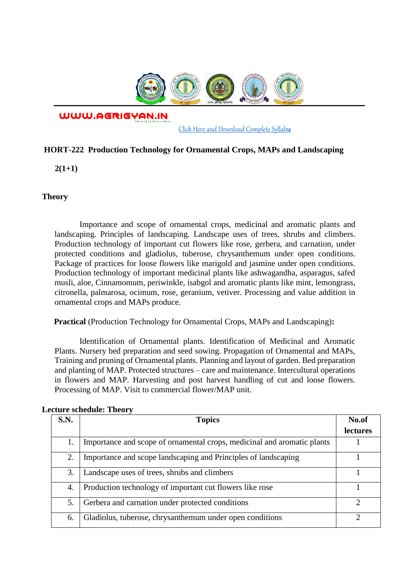

WWW.AGRIGYAN.IN

[Click Here and Download Complete Syllabus](http://agrigyan.in/)

## **HORT-222 Production Technology for Ornamental Crops, MAPs and Landscaping**

**2(1+1)** 

## **Theory**

 $\overline{a}$ 

Importance and scope of ornamental crops, medicinal and aromatic plants and landscaping. Principles of landscaping. Landscape uses of trees, shrubs and climbers. Production technology of important cut flowers like rose, gerbera, and carnation, under protected conditions and gladiolus, tuberose, chrysanthemum under open conditions. Package of practices for loose flowers like marigold and jasmine under open conditions. Production technology of important medicinal plants like ashwagandha, asparagus, safed musli, aloe, Cinnamomum, periwinkle, isabgol and aromatic plants like mint, lemongrass, citronella, palmarosa, ocimum, rose, geranium, vetiver. Processing and value addition in ornamental crops and MAPs produce.

**Practical** (Production Technology for Ornamental Crops, MAPs and Landscaping)**:** 

Identification of Ornamental plants. Identification of Medicinal and Aromatic Plants. Nursery bed preparation and seed sowing. Propagation of Ornamental and MAPs, Training and pruning of Ornamental plants. Planning and layout of garden. Bed preparation and planting of MAP. Protected structures – care and maintenance. Intercultural operations in flowers and MAP. Harvesting and post harvest handling of cut and loose flowers. Processing of MAP. Visit to commercial flower/MAP unit.

| S.N. | <b>Topics</b>                                                           | No.of<br>lectures |
|------|-------------------------------------------------------------------------|-------------------|
| 1.   | Importance and scope of ornamental crops, medicinal and aromatic plants |                   |
| 2.   | Importance and scope landscaping and Principles of landscaping          |                   |
| 3.   | Landscape uses of trees, shrubs and climbers                            |                   |
| 4.   | Production technology of important cut flowers like rose                |                   |
| 5.   | Gerbera and carnation under protected conditions                        |                   |
| 6.   | Gladiolus, tuberose, chrysanthemum under open conditions                |                   |

## **Lecture schedule: Theory**